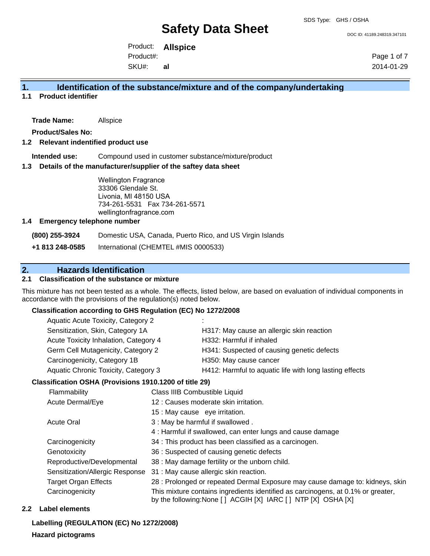DOC ID: 41189.248319.347101

Product: **Allspice** Product#:

SKU#: **al** Page 1 of 7 2014-01-29

## **1. Identification of the substance/mixture and of the company/undertaking**

## **1.1 Product identifier**

**Trade Name:** Allspice

**Product/Sales No:**

#### **1.2 Relevant indentified product use**

**Intended use:** Compound used in customer substance/mixture/product

#### **1.3 Details of the manufacturer/supplier of the saftey data sheet**

Wellington Fragrance 33306 Glendale St. Livonia, MI 48150 USA 734-261-5531 Fax 734-261-5571 wellingtonfragrance.com

#### **1.4 Emergency telephone number**

**(800) 255-3924** Domestic USA, Canada, Puerto Rico, and US Virgin Islands

**+1 813 248-0585** International (CHEMTEL #MIS 0000533)

# **2. Hazards Identification**

### **2.1 Classification of the substance or mixture**

This mixture has not been tested as a whole. The effects, listed below, are based on evaluation of individual components in accordance with the provisions of the regulation(s) noted below.

#### **Classification according to GHS Regulation (EC) No 1272/2008**

| Aquatic Acute Toxicity, Category 2    |                                                         |
|---------------------------------------|---------------------------------------------------------|
| Sensitization, Skin, Category 1A      | H317: May cause an allergic skin reaction               |
| Acute Toxicity Inhalation, Category 4 | H332: Harmful if inhaled                                |
| Germ Cell Mutagenicity, Category 2    | H341: Suspected of causing genetic defects              |
| Carcinogenicity, Category 1B          | H350: May cause cancer                                  |
| Aquatic Chronic Toxicity, Category 3  | H412: Harmful to aquatic life with long lasting effects |
|                                       |                                                         |

#### **Classification OSHA (Provisions 1910.1200 of title 29)**

| Flammability                    | Class IIIB Combustible Liquid                                                                                                                      |
|---------------------------------|----------------------------------------------------------------------------------------------------------------------------------------------------|
| Acute Dermal/Eye                | 12 : Causes moderate skin irritation.                                                                                                              |
|                                 | 15 : May cause eye irritation.                                                                                                                     |
| <b>Acute Oral</b>               | 3 : May be harmful if swallowed.                                                                                                                   |
|                                 | 4: Harmful if swallowed, can enter lungs and cause damage                                                                                          |
| Carcinogenicity                 | 34 : This product has been classified as a carcinogen.                                                                                             |
| Genotoxicity                    | 36 : Suspected of causing genetic defects                                                                                                          |
| Reproductive/Developmental      | 38 : May damage fertility or the unborn child.                                                                                                     |
| Sensitization/Allergic Response | 31 : May cause allergic skin reaction.                                                                                                             |
| <b>Target Organ Effects</b>     | 28 : Prolonged or repeated Dermal Exposure may cause damage to: kidneys, skin                                                                      |
| Carcinogenicity                 | This mixture contains ingredients identified as carcinogens, at 0.1% or greater,<br>by the following: None [ ] ACGIH [X] IARC [ ] NTP [X] OSHA [X] |
|                                 |                                                                                                                                                    |

#### **2.2 Label elements**

**Labelling (REGULATION (EC) No 1272/2008)**

#### **Hazard pictograms**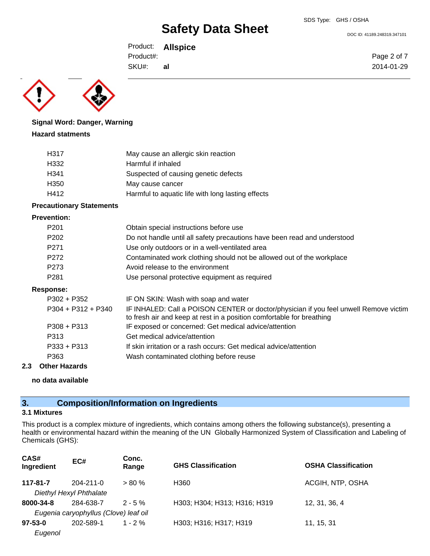DOC ID: 41189.248319.347101

Page 2 of 7 2014-01-29

Product: **Allspice** Product#:

SKU#: **al**

# **Signal Word: Danger, Warning**

### **Hazard statments**

| H317             | May cause an allergic skin reaction               |
|------------------|---------------------------------------------------|
| H332             | Harmful if inhaled                                |
| H341             | Suspected of causing genetic defects              |
| H <sub>350</sub> | May cause cancer                                  |
| H412             | Harmful to aquatic life with long lasting effects |

## **Precautionary Statements**

#### **Prevention:**

|     | P <sub>201</sub>     | Obtain special instructions before use                                                                                                                         |
|-----|----------------------|----------------------------------------------------------------------------------------------------------------------------------------------------------------|
|     | P <sub>202</sub>     | Do not handle until all safety precautions have been read and understood                                                                                       |
|     | P <sub>271</sub>     | Use only outdoors or in a well-ventilated area                                                                                                                 |
|     | P272                 | Contaminated work clothing should not be allowed out of the workplace                                                                                          |
|     | P273                 | Avoid release to the environment                                                                                                                               |
|     | P <sub>281</sub>     | Use personal protective equipment as required                                                                                                                  |
|     | Response:            |                                                                                                                                                                |
|     | $P302 + P352$        | IF ON SKIN: Wash with soap and water                                                                                                                           |
|     | $P304 + P312 + P340$ | IF INHALED: Call a POISON CENTER or doctor/physician if you feel unwell Remove victim<br>to fresh air and keep at rest in a position comfortable for breathing |
|     | $P308 + P313$        | IF exposed or concerned: Get medical advice/attention                                                                                                          |
|     | P313                 | Get medical advice/attention                                                                                                                                   |
|     | $P333 + P313$        | If skin irritation or a rash occurs: Get medical advice/attention                                                                                              |
|     | P363                 | Wash contaminated clothing before reuse                                                                                                                        |
| 2.3 | <b>Other Hazards</b> |                                                                                                                                                                |

# **no data available**

# **3. Composition/Information on Ingredients**

### **3.1 Mixtures**

This product is a complex mixture of ingredients, which contains among others the following substance(s), presenting a health or environmental hazard within the meaning of the UN Globally Harmonized System of Classification and Labeling of Chemicals (GHS):

| CAS#<br>Ingredient | EC#                                   | Conc.<br>Range | <b>GHS Classification</b>    | <b>OSHA Classification</b> |
|--------------------|---------------------------------------|----------------|------------------------------|----------------------------|
| 117-81-7           | $204 - 211 - 0$                       | $> 80 \%$      | H360                         | ACGIH, NTP, OSHA           |
|                    | Diethyl Hexyl Phthalate               |                |                              |                            |
| 8000-34-8          | 284-638-7                             | $2 - 5 \%$     | H303; H304; H313; H316; H319 | 12, 31, 36, 4              |
|                    | Eugenia caryophyllus (Clove) leaf oil |                |                              |                            |
| $97 - 53 - 0$      | 202-589-1                             | $1 - 2 \%$     | H303; H316; H317; H319       | 11, 15, 31                 |
| Eugenol            |                                       |                |                              |                            |
|                    |                                       |                |                              |                            |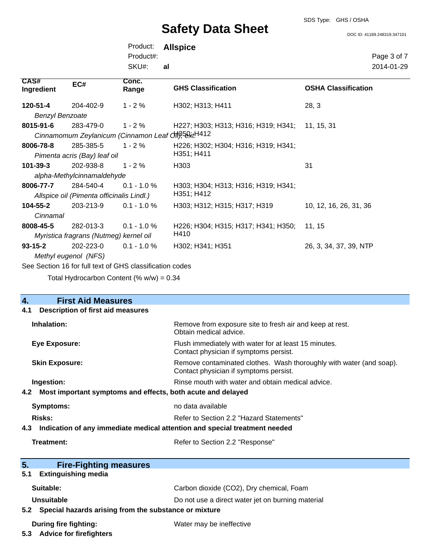### SDS Type: GHS / OSHA

# **Safety Data Sheet**

DOC ID: 41189.248319.347101

|                                                |                                           | Product:                                                 | <b>Allspice</b>                     |                            |
|------------------------------------------------|-------------------------------------------|----------------------------------------------------------|-------------------------------------|----------------------------|
|                                                |                                           | Product#:                                                |                                     | Page 3 of 7                |
|                                                |                                           | SKU#:                                                    | al                                  | 2014-01-29                 |
| CAS#<br>Ingredient                             | EC#                                       | Conc.<br>Range                                           | <b>GHS Classification</b>           | <b>OSHA Classification</b> |
| 120-51-4                                       | 204-402-9                                 | $1 - 2%$                                                 | H302; H313; H411                    | 28, 3                      |
| <b>Benzyl Benzoate</b>                         |                                           |                                                          |                                     |                            |
| 8015-91-6                                      | 283-479-0                                 | $1 - 2%$                                                 | H227; H303; H313; H316; H319; H341; | 11, 15, 31                 |
|                                                |                                           | Cinnamomum Zeylanicum (Cinnamon Leaf Off), 5 With 12     |                                     |                            |
| 8006-78-8                                      | 285-385-5                                 | $1 - 2%$                                                 | H226; H302; H304; H316; H319; H341; |                            |
|                                                | Pimenta acris (Bay) leaf oil              |                                                          | H351; H411                          |                            |
| $101 - 39 - 3$                                 | 202-938-8                                 | $1 - 2 \%$                                               | H <sub>303</sub>                    | 31                         |
|                                                | alpha-Methylcinnamaldehyde                |                                                          |                                     |                            |
| 8006-77-7                                      | 284-540-4                                 | $0.1 - 1.0 %$                                            | H303; H304; H313; H316; H319; H341; |                            |
|                                                | Allspice oil (Pimenta officinalis Lindl.) |                                                          | H351; H412                          |                            |
| $104 - 55 - 2$                                 | 203-213-9                                 | $0.1 - 1.0 %$                                            | H303; H312; H315; H317; H319        | 10, 12, 16, 26, 31, 36     |
| Cinnamal                                       |                                           |                                                          |                                     |                            |
| 8008-45-5                                      | 282-013-3                                 | $0.1 - 1.0 \%$                                           | H226; H304; H315; H317; H341; H350; | 11, 15                     |
| H410<br>Myristica fragrans (Nutmeg) kernel oil |                                           |                                                          |                                     |                            |
| $93 - 15 - 2$                                  | 202-223-0                                 | $0.1 - 1.0 %$                                            | H302: H341: H351                    | 26, 3, 34, 37, 39, NTP     |
|                                                | Methyl eugenol (NFS)                      |                                                          |                                     |                            |
|                                                |                                           | See Section 16 for full text of GHS classification codes |                                     |                            |

Total Hydrocarbon Content  $(\% w/w) = 0.34$ 

| $\overline{4}$ .  | <b>First Aid Measures</b>                                                  |                                                                                                               |  |
|-------------------|----------------------------------------------------------------------------|---------------------------------------------------------------------------------------------------------------|--|
| 4.1               | <b>Description of first aid measures</b>                                   |                                                                                                               |  |
| Inhalation:       |                                                                            | Remove from exposure site to fresh air and keep at rest.<br>Obtain medical advice.                            |  |
|                   | <b>Eye Exposure:</b>                                                       | Flush immediately with water for at least 15 minutes.<br>Contact physician if symptoms persist.               |  |
|                   | <b>Skin Exposure:</b>                                                      | Remove contaminated clothes. Wash thoroughly with water (and soap).<br>Contact physician if symptoms persist. |  |
| Ingestion:        |                                                                            | Rinse mouth with water and obtain medical advice.                                                             |  |
| 4.2               | Most important symptoms and effects, both acute and delayed                |                                                                                                               |  |
|                   | <b>Symptoms:</b>                                                           | no data available                                                                                             |  |
| Risks:            |                                                                            | Refer to Section 2.2 "Hazard Statements"                                                                      |  |
| 4.3               | Indication of any immediate medical attention and special treatment needed |                                                                                                               |  |
| <b>Treatment:</b> |                                                                            | Refer to Section 2.2 "Response"                                                                               |  |
|                   |                                                                            |                                                                                                               |  |
| 5.                | <b>Fire-Fighting measures</b>                                              |                                                                                                               |  |
| 5.1               | <b>Extinguishing media</b>                                                 |                                                                                                               |  |
| Suitable:         |                                                                            | Carbon dioxide (CO2), Dry chemical, Foam                                                                      |  |
| Unsuitable        |                                                                            | Do not use a direct water jet on burning material                                                             |  |
|                   | 5.2 Special hazards arising from the substance or mixture                  |                                                                                                               |  |
| 5.3               | <b>During fire fighting:</b><br><b>Advice for firefighters</b>             | Water may be ineffective                                                                                      |  |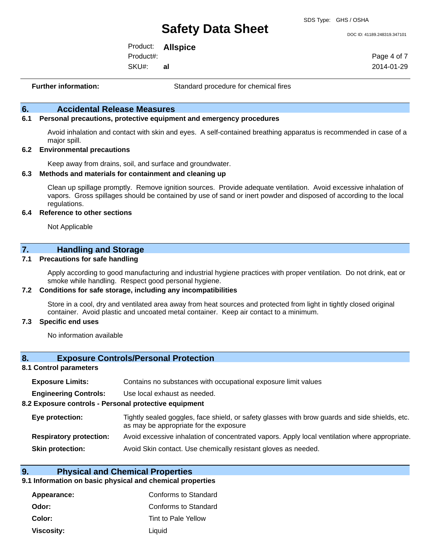DOC ID: 41189.248319.347101

Product: **Allspice**

Product#: **al**

SKU#:

Page 4 of 7 2014-01-29

**Further information:** Standard procedure for chemical fires

### **6. Accidental Release Measures**

#### **6.1 Personal precautions, protective equipment and emergency procedures**

Avoid inhalation and contact with skin and eyes. A self-contained breathing apparatus is recommended in case of a major spill.

#### **6.2 Environmental precautions**

Keep away from drains, soil, and surface and groundwater.

#### **6.3 Methods and materials for containment and cleaning up**

Clean up spillage promptly. Remove ignition sources. Provide adequate ventilation. Avoid excessive inhalation of vapors. Gross spillages should be contained by use of sand or inert powder and disposed of according to the local regulations.

#### **6.4 Reference to other sections**

Not Applicable

### **7. Handling and Storage**

#### **7.1 Precautions for safe handling**

Apply according to good manufacturing and industrial hygiene practices with proper ventilation. Do not drink, eat or smoke while handling. Respect good personal hygiene.

#### **7.2 Conditions for safe storage, including any incompatibilities**

Store in a cool, dry and ventilated area away from heat sources and protected from light in tightly closed original container. Avoid plastic and uncoated metal container. Keep air contact to a minimum.

#### **7.3 Specific end uses**

No information available

#### **8. Exposure Controls/Personal Protection**

#### **8.1 Control parameters**

| <b>Exposure Limits:</b><br>Contains no substances with occupational exposure limit values |  |
|-------------------------------------------------------------------------------------------|--|
|-------------------------------------------------------------------------------------------|--|

**Engineering Controls:** Use local exhaust as needed.

#### **8.2 Exposure controls - Personal protective equipment**

| Eye protection: | Tightly sealed goggles, face shield, or safety glasses with brow guards and side shields, etc. |
|-----------------|------------------------------------------------------------------------------------------------|
|                 | as may be appropriate for the exposure                                                         |
| .               |                                                                                                |

# **Respiratory protection:** Avoid excessive inhalation of concentrated vapors. Apply local ventilation where appropriate.

**Skin protection:** Avoid Skin contact. Use chemically resistant gloves as needed.

#### **9. Physical and Chemical Properties**

#### **9.1 Information on basic physical and chemical properties**

| Appearance:       | Conforms to Standard |
|-------------------|----------------------|
| Odor:             | Conforms to Standard |
| <b>Color:</b>     | Tint to Pale Yellow  |
| <b>Viscosity:</b> | Liquid               |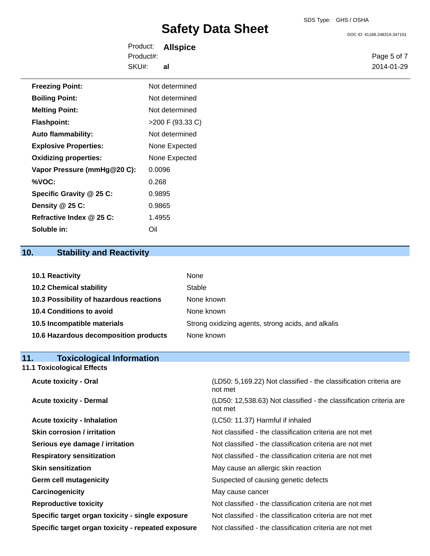DOC ID: 41189.248319.347101

Product: **Allspice** SKU#: Product#: **al**

Page 5 of 7 2014-01-29

| <b>Freezing Point:</b>       | Not determined   |
|------------------------------|------------------|
| <b>Boiling Point:</b>        | Not determined   |
| <b>Melting Point:</b>        | Not determined   |
| <b>Flashpoint:</b>           | >200 F (93.33 C) |
| <b>Auto flammability:</b>    | Not determined   |
| <b>Explosive Properties:</b> | None Expected    |
| <b>Oxidizing properties:</b> | None Expected    |
| Vapor Pressure (mmHg@20 C):  | 0.0096           |
| %VOC:                        | 0.268            |
| Specific Gravity @ 25 C:     | 0.9895           |
| Density @ 25 C:              | 0.9865           |
| Refractive Index @ 25 C:     | 1.4955           |
| Soluble in:                  | Oil              |

# **10. Stability and Reactivity**

| 10.1 Reactivity                         | None                                               |
|-----------------------------------------|----------------------------------------------------|
| <b>10.2 Chemical stability</b>          | Stable                                             |
| 10.3 Possibility of hazardous reactions | None known                                         |
| <b>10.4 Conditions to avoid</b>         | None known                                         |
| 10.5 Incompatible materials             | Strong oxidizing agents, strong acids, and alkalis |
| 10.6 Hazardous decomposition products   | None known                                         |

# **11. Toxicological Information 11.1 Toxicological Effects**

| <b>Acute toxicity - Oral</b>                       | (LD50: 5,169.22) Not classified - the classification criteria are<br>not met  |  |  |  |
|----------------------------------------------------|-------------------------------------------------------------------------------|--|--|--|
| <b>Acute toxicity - Dermal</b>                     | (LD50: 12,538.63) Not classified - the classification criteria are<br>not met |  |  |  |
| <b>Acute toxicity - Inhalation</b>                 | (LC50: 11.37) Harmful if inhaled                                              |  |  |  |
| <b>Skin corrosion / irritation</b>                 | Not classified - the classification criteria are not met                      |  |  |  |
| Serious eye damage / irritation                    | Not classified - the classification criteria are not met                      |  |  |  |
| <b>Respiratory sensitization</b>                   | Not classified - the classification criteria are not met                      |  |  |  |
| <b>Skin sensitization</b>                          | May cause an allergic skin reaction                                           |  |  |  |
| <b>Germ cell mutagenicity</b>                      | Suspected of causing genetic defects                                          |  |  |  |
| Carcinogenicity                                    | May cause cancer                                                              |  |  |  |
| <b>Reproductive toxicity</b>                       | Not classified - the classification criteria are not met                      |  |  |  |
| Specific target organ toxicity - single exposure   | Not classified - the classification criteria are not met                      |  |  |  |
| Specific target organ toxicity - repeated exposure | Not classified - the classification criteria are not met                      |  |  |  |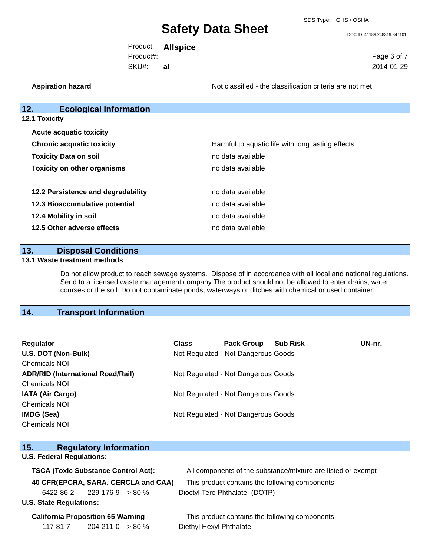DOC ID: 41189.248319.347101

|           | Product: <b>Allspice</b> |             |
|-----------|--------------------------|-------------|
| Product#: |                          | Page 6 of 7 |
| SKU#:     | al                       | 2014-01-29  |

**Aspiration hazard Not classified - the classification criteria are not met** Not classified - the classification criteria are not met

# **12. Ecological Information**

**12.1 Toxicity**

| <b>Acute acquatic toxicity</b>     |                                                   |  |  |
|------------------------------------|---------------------------------------------------|--|--|
| <b>Chronic acquatic toxicity</b>   | Harmful to aquatic life with long lasting effects |  |  |
| <b>Toxicity Data on soil</b>       | no data available                                 |  |  |
| <b>Toxicity on other organisms</b> | no data available                                 |  |  |
|                                    |                                                   |  |  |
| 12.2 Persistence and degradability | no data available                                 |  |  |
| 12.3 Bioaccumulative potential     | no data available                                 |  |  |
| 12.4 Mobility in soil              | no data available                                 |  |  |
| 12.5 Other adverse effects         | no data available                                 |  |  |

#### **13. Disposal Conditions**

#### **13.1 Waste treatment methods**

Do not allow product to reach sewage systems. Dispose of in accordance with all local and national regulations. Send to a licensed waste management company.The product should not be allowed to enter drains, water courses or the soil. Do not contaminate ponds, waterways or ditches with chemical or used container.

# **14. Transport Information**

| Regulator                                                                       | <b>Class</b> | <b>Pack Group</b>                   | <b>Sub Risk</b> | UN-nr. |
|---------------------------------------------------------------------------------|--------------|-------------------------------------|-----------------|--------|
| U.S. DOT (Non-Bulk)                                                             |              | Not Regulated - Not Dangerous Goods |                 |        |
| <b>Chemicals NOI</b>                                                            |              |                                     |                 |        |
| <b>ADR/RID (International Road/Rail)</b><br>Not Regulated - Not Dangerous Goods |              |                                     |                 |        |
| <b>Chemicals NOI</b>                                                            |              |                                     |                 |        |
| <b>IATA (Air Cargo)</b>                                                         |              | Not Regulated - Not Dangerous Goods |                 |        |
| <b>Chemicals NOI</b>                                                            |              |                                     |                 |        |
| <b>IMDG (Sea)</b>                                                               |              | Not Regulated - Not Dangerous Goods |                 |        |
| <b>Chemicals NOI</b>                                                            |              |                                     |                 |        |

# **15. Regulatory Information**

## **U.S. Federal Regulations:**

| <b>TSCA (Toxic Substance Control Act):</b> |                                    |  |  | All components of the substance/mixture are listed or exempt |  |  |
|--------------------------------------------|------------------------------------|--|--|--------------------------------------------------------------|--|--|
| 40 CFR(EPCRA, SARA, CERCLA and CAA)        |                                    |  |  | This product contains the following components:              |  |  |
|                                            | $6422 - 86 - 2$ 229-176-9 $> 80\%$ |  |  | Dioctyl Tere Phthalate (DOTP)                                |  |  |
|                                            | <b>U.S. State Regulations:</b>     |  |  |                                                              |  |  |

117-81-7 204-211-0 > 80 % Diethyl Hexyl Phthalate

**California Proposition 65 Warning This product contains the following components:**